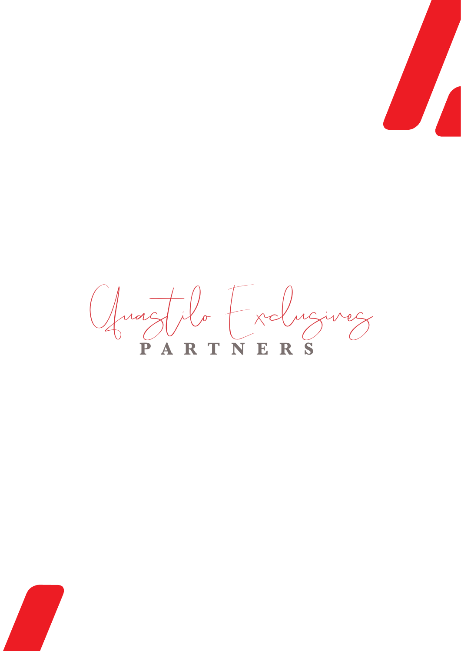

**PARTNERS** Quastilo Exclusives

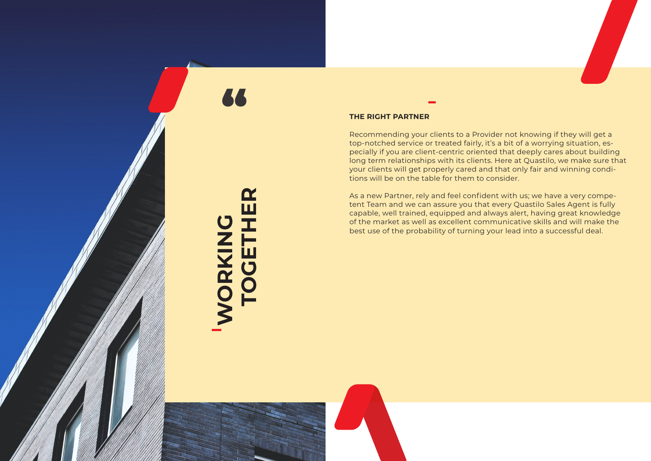

#### **THE RIGHT PARTNER**

Recommending your clients to a Provider not knowing if they will get a top-notched service or treated fairly, it's a bit of a worrying situation, es pecially if you are client-centric oriented that deeply cares about building long term relationships with its clients. Here at Quastilo, we make sure that your clients will get properly cared and that only fair and winning condi tions will be on the table for them to consider.

As a new Partner, rely and feel confident with us; we have a very compe tent Team and we can assure you that every Quastilo Sales Agent is fully capable, well trained, equipped and always alert, having great knowledge of the market as well as excellent communicative skills and will make the best use of the probability of turning your lead into a successful deal.

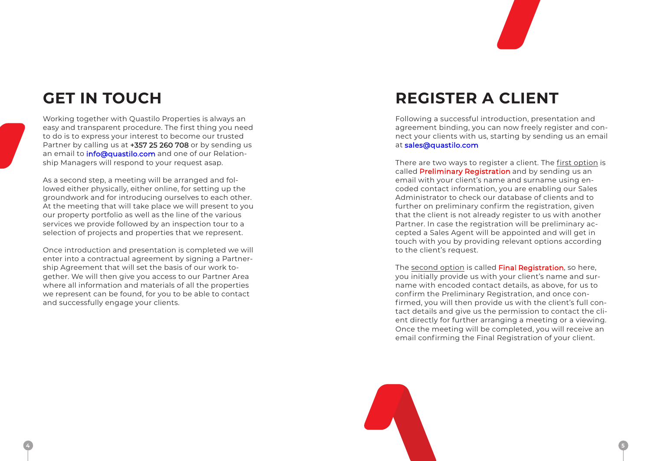



### **GET IN TOUCH**

Working together with Quastilo Properties is always an easy and transparent procedure. The first thing you need to do is to express your interest to become our trusted Partner by calling us at +357 25 260 708 or by sending us an email to *info@quastilo.com* and one of our Relationship Managers will respond to your request asap.

As a second step, a meeting will be arranged and followed either physically, either online, for setting up the groundwork and for introducing ourselves to each other. At the meeting that will take place we will present to you our property portfolio as well as the line of the various services we provide followed by an inspection tour to a selection of projects and properties that we represent.

Once introduction and presentation is completed we will enter into a contractual agreement by signing a Partnership Agreement that will set the basis of our work together. We will then give you access to our Partner Area where all information and materials of all the properties we represent can be found, for you to be able to contact and successfully engage your clients.

## **REGISTER A CLIENT**

The second option is called Final Registration, so here, you initially provide us with your client's name and surname with encoded contact details, as above, for us to confirm the Preliminary Registration, and once confirmed, you will then provide us with the client's full contact details and give us the permission to contact the client directly for further arranging a meeting or a viewing. Once the meeting will be completed, you will receive an email confirming the Final Registration of your client.

Following a successful introduction, presentation and agreement binding, you can now freely register and connect your clients with us, starting by sending us an email at sales@quastilo.com

There are two ways to register a client. The first option is called Preliminary Registration and by sending us an email with your client's name and surname using encoded contact information, you are enabling our Sales Administrator to check our database of clients and to further on preliminary confirm the registration, given that the client is not already register to us with another Partner. In case the registration will be preliminary accepted a Sales Agent will be appointed and will get in touch with you by providing relevant options according to the client's request.